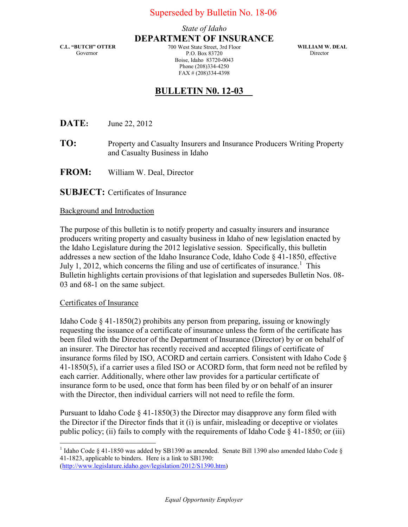## State of Idaho DEPARTMENT OF INSURANCE

C.L. "BUTCH" OTTER Governor

700 West State Street, 3rd Floor P.O. Box 83720 Boise, Idaho 83720-0043 Phone (208)334-4250 FAX # (208)334-4398

WILLIAM W. DEAL Director

## BULLETIN N0. 12-03\_\_

**DATE:** June 22, 2012

- **TO:** Property and Casualty Insurers and Insurance Producers Writing Property and Casualty Business in Idaho
- FROM: William W. Deal, Director

SUBJECT: Certificates of Insurance

## Background and Introduction

The purpose of this bulletin is to notify property and casualty insurers and insurance producers writing property and casualty business in Idaho of new legislation enacted by the Idaho Legislature during the 2012 legislative session. Specifically, this bulletin addresses a new section of the Idaho Insurance Code, Idaho Code § 41-1850, effective July 1, 2012, which concerns the filing and use of certificates of insurance.<sup>1</sup> This Bulletin highlights certain provisions of that legislation and supersedes Bulletin Nos. 08- 03 and 68-1 on the same subject.

## Certificates of Insurance

Idaho Code § 41-1850(2) prohibits any person from preparing, issuing or knowingly requesting the issuance of a certificate of insurance unless the form of the certificate has been filed with the Director of the Department of Insurance (Director) by or on behalf of an insurer. The Director has recently received and accepted filings of certificate of insurance forms filed by ISO, ACORD and certain carriers. Consistent with Idaho Code § 41-1850(5), if a carrier uses a filed ISO or ACORD form, that form need not be refiled by each carrier. Additionally, where other law provides for a particular certificate of insurance form to be used, once that form has been filed by or on behalf of an insurer with the Director, then individual carriers will not need to refile the form.

Pursuant to Idaho Code  $\S$  41-1850(3) the Director may disapprove any form filed with the Director if the Director finds that it (i) is unfair, misleading or deceptive or violates public policy; (ii) fails to comply with the requirements of Idaho Code  $\S$  41-1850; or (iii)

<sup>&</sup>lt;sup>1</sup> Idaho Code § 41-1850 was added by SB1390 as amended. Senate Bill 1390 also amended Idaho Code § 41-1823, applicable to binders. Here is a link to SB1390: (http://www.legislature.idaho.gov/legislation/2012/S1390.htm)